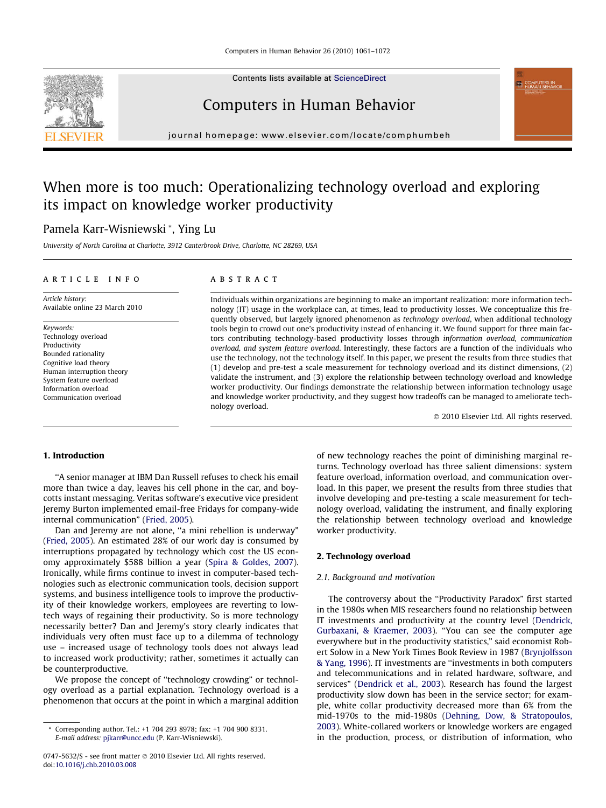Contents lists available at [ScienceDirect](http://www.sciencedirect.com/science/journal/07475632)

# Computers in Human Behavior

journal homepage: [www.elsevier.com/locate/comphumbeh](http://www.elsevier.com/locate/comphumbeh)

## When more is too much: Operationalizing technology overload and exploring its impact on knowledge worker productivity

## Pamela Karr-Wisniewski \*, Ying Lu

University of North Carolina at Charlotte, 3912 Canterbrook Drive, Charlotte, NC 28269, USA

## article info

Article history: Available online 23 March 2010

Keywords: Technology overload Productivity Bounded rationality Cognitive load theory Human interruption theory System feature overload Information overload Communication overload

## ABSTRACT

Individuals within organizations are beginning to make an important realization: more information technology (IT) usage in the workplace can, at times, lead to productivity losses. We conceptualize this frequently observed, but largely ignored phenomenon as technology overload, when additional technology tools begin to crowd out one's productivity instead of enhancing it. We found support for three main factors contributing technology-based productivity losses through information overload, communication overload, and system feature overload. Interestingly, these factors are a function of the individuals who use the technology, not the technology itself. In this paper, we present the results from three studies that (1) develop and pre-test a scale measurement for technology overload and its distinct dimensions, (2) validate the instrument, and (3) explore the relationship between technology overload and knowledge worker productivity. Our findings demonstrate the relationship between information technology usage and knowledge worker productivity, and they suggest how tradeoffs can be managed to ameliorate technology overload.

- 2010 Elsevier Ltd. All rights reserved.

## 1. Introduction

''A senior manager at IBM Dan Russell refuses to check his email more than twice a day, leaves his cell phone in the car, and boycotts instant messaging. Veritas software's executive vice president Jeremy Burton implemented email-free Fridays for company-wide internal communication" [\(Fried, 2005\)](#page-11-0).

Dan and Jeremy are not alone, ''a mini rebellion is underway" ([Fried, 2005](#page-11-0)). An estimated 28% of our work day is consumed by interruptions propagated by technology which cost the US economy approximately \$588 billion a year [\(Spira & Goldes, 2007\)](#page-11-0). Ironically, while firms continue to invest in computer-based technologies such as electronic communication tools, decision support systems, and business intelligence tools to improve the productivity of their knowledge workers, employees are reverting to lowtech ways of regaining their productivity. So is more technology necessarily better? Dan and Jeremy's story clearly indicates that individuals very often must face up to a dilemma of technology use – increased usage of technology tools does not always lead to increased work productivity; rather, sometimes it actually can be counterproductive.

We propose the concept of ''technology crowding" or technology overload as a partial explanation. Technology overload is a phenomenon that occurs at the point in which a marginal addition of new technology reaches the point of diminishing marginal returns. Technology overload has three salient dimensions: system feature overload, information overload, and communication overload. In this paper, we present the results from three studies that involve developing and pre-testing a scale measurement for technology overload, validating the instrument, and finally exploring the relationship between technology overload and knowledge worker productivity.

## 2. Technology overload

## 2.1. Background and motivation

The controversy about the ''Productivity Paradox" first started in the 1980s when MIS researchers found no relationship between IT investments and productivity at the country level ([Dendrick,](#page-11-0) [Gurbaxani, & Kraemer, 2003\)](#page-11-0). ''You can see the computer age everywhere but in the productivity statistics," said economist Robert Solow in a New York Times Book Review in 1987 ([Brynjolfsson](#page-10-0) [& Yang, 1996](#page-10-0)). IT investments are ''investments in both computers and telecommunications and in related hardware, software, and services" ([Dendrick et al., 2003](#page-11-0)). Research has found the largest productivity slow down has been in the service sector; for example, white collar productivity decreased more than 6% from the mid-1970s to the mid-1980s ([Dehning, Dow, & Stratopoulos,](#page-11-0) [2003](#page-11-0)). White-collared workers or knowledge workers are engaged in the production, process, or distribution of information, who



Corresponding author. Tel.: +1 704 293 8978; fax: +1 704 900 8331. E-mail address: [pjkarr@uncc.edu](mailto:pjkarr@uncc.edu) (P. Karr-Wisniewski).

<sup>0747-5632/\$ -</sup> see front matter © 2010 Elsevier Ltd. All rights reserved. doi[:10.1016/j.chb.2010.03.008](http://dx.doi.org/10.1016/j.chb.2010.03.008)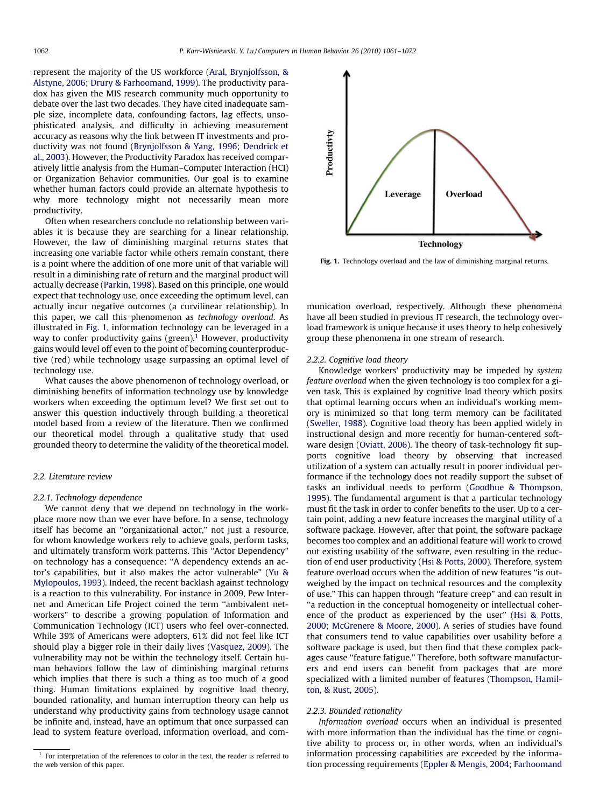represent the majority of the US workforce ([Aral, Brynjolfsson, &](#page-10-0) [Alstyne, 2006; Drury & Farhoomand, 1999\)](#page-10-0). The productivity paradox has given the MIS research community much opportunity to debate over the last two decades. They have cited inadequate sample size, incomplete data, confounding factors, lag effects, unsophisticated analysis, and difficulty in achieving measurement accuracy as reasons why the link between IT investments and productivity was not found ([Brynjolfsson & Yang, 1996; Dendrick et](#page-10-0) [al., 2003](#page-10-0)). However, the Productivity Paradox has received comparatively little analysis from the Human–Computer Interaction (HCI) or Organization Behavior communities. Our goal is to examine whether human factors could provide an alternate hypothesis to why more technology might not necessarily mean more productivity.

Often when researchers conclude no relationship between variables it is because they are searching for a linear relationship. However, the law of diminishing marginal returns states that increasing one variable factor while others remain constant, there is a point where the addition of one more unit of that variable will result in a diminishing rate of return and the marginal product will actually decrease [\(Parkin, 1998\)](#page-11-0). Based on this principle, one would expect that technology use, once exceeding the optimum level, can actually incur negative outcomes (a curvilinear relationship). In this paper, we call this phenomenon as technology overload. As illustrated in Fig. 1, information technology can be leveraged in a way to confer productivity gains (green).<sup>1</sup> However, productivity gains would level off even to the point of becoming counterproductive (red) while technology usage surpassing an optimal level of technology use.

What causes the above phenomenon of technology overload, or diminishing benefits of information technology use by knowledge workers when exceeding the optimum level? We first set out to answer this question inductively through building a theoretical model based from a review of the literature. Then we confirmed our theoretical model through a qualitative study that used grounded theory to determine the validity of the theoretical model.

## 2.2. Literature review

## 2.2.1. Technology dependence

We cannot deny that we depend on technology in the workplace more now than we ever have before. In a sense, technology itself has become an ''organizational actor," not just a resource, for whom knowledge workers rely to achieve goals, perform tasks, and ultimately transform work patterns. This ''Actor Dependency" on technology has a consequence: ''A dependency extends an actor's capabilities, but it also makes the actor vulnerable" [\(Yu &](#page-11-0) [Mylopoulos, 1993](#page-11-0)). Indeed, the recent backlash against technology is a reaction to this vulnerability. For instance in 2009, Pew Internet and American Life Project coined the term ''ambivalent networkers" to describe a growing population of Information and Communication Technology (ICT) users who feel over-connected. While 39% of Americans were adopters, 61% did not feel like ICT should play a bigger role in their daily lives [\(Vasquez, 2009](#page-11-0)). The vulnerability may not be within the technology itself. Certain human behaviors follow the law of diminishing marginal returns which implies that there is such a thing as too much of a good thing. Human limitations explained by cognitive load theory, bounded rationality, and human interruption theory can help us understand why productivity gains from technology usage cannot be infinite and, instead, have an optimum that once surpassed can lead to system feature overload, information overload, and com-



Fig. 1. Technology overload and the law of diminishing marginal returns.

munication overload, respectively. Although these phenomena have all been studied in previous IT research, the technology overload framework is unique because it uses theory to help cohesively group these phenomena in one stream of research.

#### 2.2.2. Cognitive load theory

Knowledge workers' productivity may be impeded by system feature overload when the given technology is too complex for a given task. This is explained by cognitive load theory which posits that optimal learning occurs when an individual's working memory is minimized so that long term memory can be facilitated ([Sweller, 1988\)](#page-11-0). Cognitive load theory has been applied widely in instructional design and more recently for human-centered software design ([Oviatt, 2006](#page-11-0)). The theory of task-technology fit supports cognitive load theory by observing that increased utilization of a system can actually result in poorer individual performance if the technology does not readily support the subset of tasks an individual needs to perform [\(Goodhue & Thompson,](#page-11-0) [1995\)](#page-11-0). The fundamental argument is that a particular technology must fit the task in order to confer benefits to the user. Up to a certain point, adding a new feature increases the marginal utility of a software package. However, after that point, the software package becomes too complex and an additional feature will work to crowd out existing usability of the software, even resulting in the reduction of end user productivity ([Hsi & Potts, 2000\)](#page-11-0). Therefore, system feature overload occurs when the addition of new features ''is outweighed by the impact on technical resources and the complexity of use." This can happen through ''feature creep" and can result in ''a reduction in the conceptual homogeneity or intellectual coherence of the product as experienced by the user" [\(Hsi & Potts,](#page-11-0) [2000; McGrenere & Moore, 2000](#page-11-0)). A series of studies have found that consumers tend to value capabilities over usability before a software package is used, but then find that these complex packages cause ''feature fatigue." Therefore, both software manufacturers and end users can benefit from packages that are more specialized with a limited number of features [\(Thompson, Hamil](#page-11-0)[ton, & Rust, 2005](#page-11-0)).

## 2.2.3. Bounded rationality

Information overload occurs when an individual is presented with more information than the individual has the time or cognitive ability to process or, in other words, when an individual's information processing capabilities are exceeded by the information processing requirements [\(Eppler & Mengis, 2004; Farhoomand](#page-11-0)

 $1$  For interpretation of the references to color in the text, the reader is referred to the web version of this paper.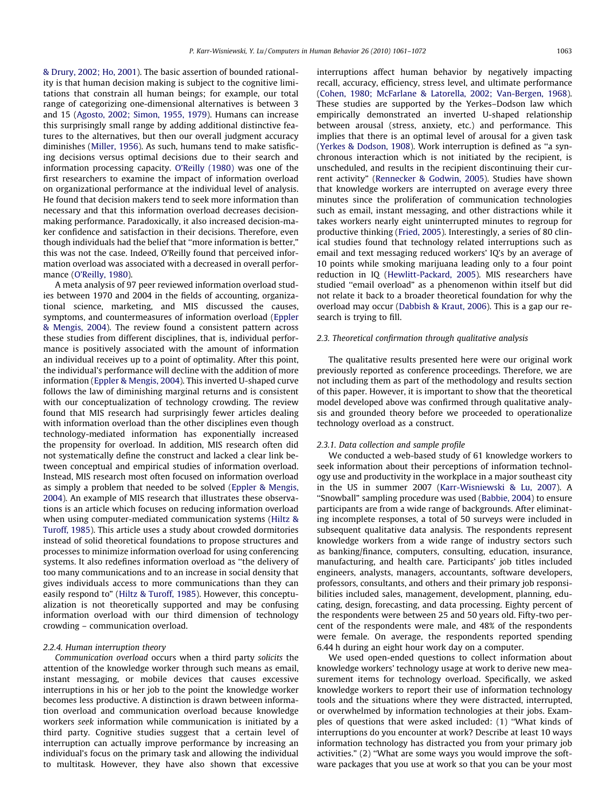[& Drury, 2002; Ho, 2001\)](#page-11-0). The basic assertion of bounded rationality is that human decision making is subject to the cognitive limitations that constrain all human beings; for example, our total range of categorizing one-dimensional alternatives is between 3 and 15 ([Agosto, 2002; Simon, 1955, 1979](#page-10-0)). Humans can increase this surprisingly small range by adding additional distinctive features to the alternatives, but then our overall judgment accuracy diminishes ([Miller, 1956\)](#page-11-0). As such, humans tend to make satisficing decisions versus optimal decisions due to their search and information processing capacity. [O'Reilly \(1980\)](#page-11-0) was one of the first researchers to examine the impact of information overload on organizational performance at the individual level of analysis. He found that decision makers tend to seek more information than necessary and that this information overload decreases decisionmaking performance. Paradoxically, it also increased decision-maker confidence and satisfaction in their decisions. Therefore, even though individuals had the belief that ''more information is better," this was not the case. Indeed, O'Reilly found that perceived information overload was associated with a decreased in overall performance [\(O'Reilly, 1980\)](#page-11-0).

A meta analysis of 97 peer reviewed information overload studies between 1970 and 2004 in the fields of accounting, organizational science, marketing, and MIS discussed the causes, symptoms, and countermeasures of information overload [\(Eppler](#page-11-0) [& Mengis, 2004\)](#page-11-0). The review found a consistent pattern across these studies from different disciplines, that is, individual performance is positively associated with the amount of information an individual receives up to a point of optimality. After this point, the individual's performance will decline with the addition of more information [\(Eppler & Mengis, 2004\)](#page-11-0). This inverted U-shaped curve follows the law of diminishing marginal returns and is consistent with our conceptualization of technology crowding. The review found that MIS research had surprisingly fewer articles dealing with information overload than the other disciplines even though technology-mediated information has exponentially increased the propensity for overload. In addition, MIS research often did not systematically define the construct and lacked a clear link between conceptual and empirical studies of information overload. Instead, MIS research most often focused on information overload as simply a problem that needed to be solved ([Eppler & Mengis,](#page-11-0) [2004](#page-11-0)). An example of MIS research that illustrates these observations is an article which focuses on reducing information overload when using computer-mediated communication systems ([Hiltz &](#page-11-0) [Turoff, 1985\)](#page-11-0). This article uses a study about crowded dormitories instead of solid theoretical foundations to propose structures and processes to minimize information overload for using conferencing systems. It also redefines information overload as ''the delivery of too many communications and to an increase in social density that gives individuals access to more communications than they can easily respond to" ([Hiltz & Turoff, 1985\)](#page-11-0). However, this conceptualization is not theoretically supported and may be confusing information overload with our third dimension of technology crowding – communication overload.

### 2.2.4. Human interruption theory

Communication overload occurs when a third party solicits the attention of the knowledge worker through such means as email, instant messaging, or mobile devices that causes excessive interruptions in his or her job to the point the knowledge worker becomes less productive. A distinction is drawn between information overload and communication overload because knowledge workers seek information while communication is initiated by a third party. Cognitive studies suggest that a certain level of interruption can actually improve performance by increasing an individual's focus on the primary task and allowing the individual to multitask. However, they have also shown that excessive

interruptions affect human behavior by negatively impacting recall, accuracy, efficiency, stress level, and ultimate performance ([Cohen, 1980; McFarlane & Latorella, 2002; Van-Bergen, 1968\)](#page-10-0). These studies are supported by the Yerkes–Dodson law which empirically demonstrated an inverted U-shaped relationship between arousal (stress, anxiety, etc.) and performance. This implies that there is an optimal level of arousal for a given task ([Yerkes & Dodson, 1908](#page-11-0)). Work interruption is defined as ''a synchronous interaction which is not initiated by the recipient, is unscheduled, and results in the recipient discontinuing their current activity" (Rennecker & [Godwin, 2005\)](#page-11-0). Studies have shown that knowledge workers are interrupted on average every three minutes since the proliferation of communication technologies such as email, instant messaging, and other distractions while it takes workers nearly eight uninterrupted minutes to regroup for productive thinking ([Fried, 2005\)](#page-11-0). Interestingly, a series of 80 clinical studies found that technology related interruptions such as email and text messaging reduced workers' IQ's by an average of 10 points while smoking marijuana leading only to a four point reduction in IQ ([Hewlitt-Packard, 2005\)](#page-11-0). MIS researchers have studied ''email overload" as a phenomenon within itself but did not relate it back to a broader theoretical foundation for why the overload may occur [\(Dabbish & Kraut, 2006](#page-10-0)). This is a gap our research is trying to fill.

## 2.3. Theoretical confirmation through qualitative analysis

The qualitative results presented here were our original work previously reported as conference proceedings. Therefore, we are not including them as part of the methodology and results section of this paper. However, it is important to show that the theoretical model developed above was confirmed through qualitative analysis and grounded theory before we proceeded to operationalize technology overload as a construct.

## 2.3.1. Data collection and sample profile

We conducted a web-based study of 61 knowledge workers to seek information about their perceptions of information technology use and productivity in the workplace in a major southeast city in the US in summer 2007 ([Karr-Wisniewski & Lu, 2007](#page-11-0)). A ''Snowball" sampling procedure was used ([Babbie, 2004](#page-10-0)) to ensure participants are from a wide range of backgrounds. After eliminating incomplete responses, a total of 50 surveys were included in subsequent qualitative data analysis. The respondents represent knowledge workers from a wide range of industry sectors such as banking/finance, computers, consulting, education, insurance, manufacturing, and health care. Participants' job titles included engineers, analysts, managers, accountants, software developers, professors, consultants, and others and their primary job responsibilities included sales, management, development, planning, educating, design, forecasting, and data processing. Eighty percent of the respondents were between 25 and 50 years old. Fifty-two percent of the respondents were male, and 48% of the respondents were female. On average, the respondents reported spending 6.44 h during an eight hour work day on a computer.

We used open-ended questions to collect information about knowledge workers' technology usage at work to derive new measurement items for technology overload. Specifically, we asked knowledge workers to report their use of information technology tools and the situations where they were distracted, interrupted, or overwhelmed by information technologies at their jobs. Examples of questions that were asked included: (1) ''What kinds of interruptions do you encounter at work? Describe at least 10 ways information technology has distracted you from your primary job activities." (2) ''What are some ways you would improve the software packages that you use at work so that you can be your most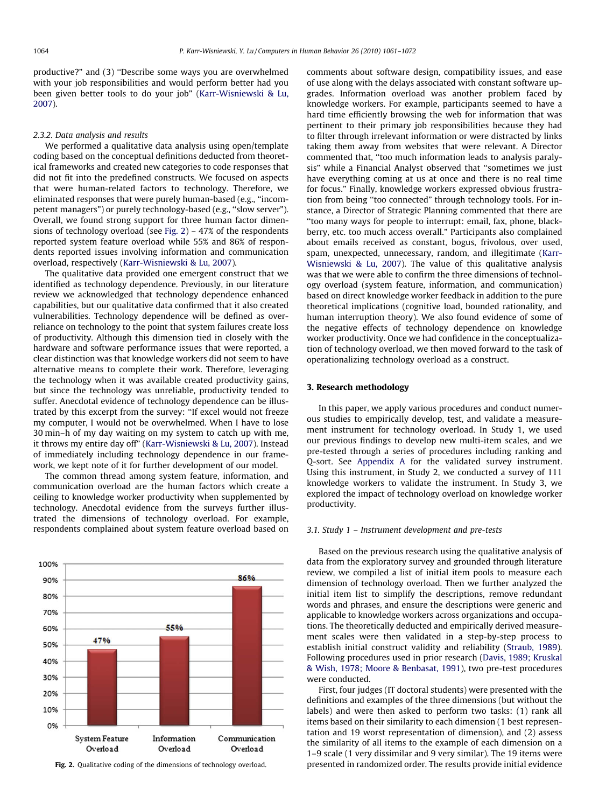productive?" and (3) ''Describe some ways you are overwhelmed with your job responsibilities and would perform better had you been given better tools to do your job" [\(Karr-Wisniewski & Lu,](#page-11-0) [2007\)](#page-11-0).

#### 2.3.2. Data analysis and results

We performed a qualitative data analysis using open/template coding based on the conceptual definitions deducted from theoretical frameworks and created new categories to code responses that did not fit into the predefined constructs. We focused on aspects that were human-related factors to technology. Therefore, we eliminated responses that were purely human-based (e.g., ''incompetent managers") or purely technology-based (e.g., ''slow server"). Overall, we found strong support for three human factor dimensions of technology overload (see Fig. 2) – 47% of the respondents reported system feature overload while 55% and 86% of respondents reported issues involving information and communication overload, respectively [\(Karr-Wisniewski & Lu, 2007\)](#page-11-0).

The qualitative data provided one emergent construct that we identified as technology dependence. Previously, in our literature review we acknowledged that technology dependence enhanced capabilities, but our qualitative data confirmed that it also created vulnerabilities. Technology dependence will be defined as overreliance on technology to the point that system failures create loss of productivity. Although this dimension tied in closely with the hardware and software performance issues that were reported, a clear distinction was that knowledge workers did not seem to have alternative means to complete their work. Therefore, leveraging the technology when it was available created productivity gains, but since the technology was unreliable, productivity tended to suffer. Anecdotal evidence of technology dependence can be illustrated by this excerpt from the survey: ''If excel would not freeze my computer, I would not be overwhelmed. When I have to lose 30 min–h of my day waiting on my system to catch up with me, it throws my entire day off" [\(Karr-Wisniewski & Lu, 2007\)](#page-11-0). Instead of immediately including technology dependence in our framework, we kept note of it for further development of our model.

The common thread among system feature, information, and communication overload are the human factors which create a ceiling to knowledge worker productivity when supplemented by technology. Anecdotal evidence from the surveys further illustrated the dimensions of technology overload. For example, respondents complained about system feature overload based on



comments about software design, compatibility issues, and ease of use along with the delays associated with constant software upgrades. Information overload was another problem faced by knowledge workers. For example, participants seemed to have a hard time efficiently browsing the web for information that was pertinent to their primary job responsibilities because they had to filter through irrelevant information or were distracted by links taking them away from websites that were relevant. A Director commented that, ''too much information leads to analysis paralysis" while a Financial Analyst observed that ''sometimes we just have everything coming at us at once and there is no real time for focus." Finally, knowledge workers expressed obvious frustration from being ''too connected" through technology tools. For instance, a Director of Strategic Planning commented that there are ''too many ways for people to interrupt: email, fax, phone, blackberry, etc. too much access overall." Participants also complained about emails received as constant, bogus, frivolous, over used, spam, unexpected, unnecessary, random, and illegitimate [\(Karr-](#page-11-0)[Wisniewski & Lu, 2007\)](#page-11-0). The value of this qualitative analysis was that we were able to confirm the three dimensions of technology overload (system feature, information, and communication) based on direct knowledge worker feedback in addition to the pure theoretical implications (cognitive load, bounded rationality, and human interruption theory). We also found evidence of some of the negative effects of technology dependence on knowledge worker productivity. Once we had confidence in the conceptualization of technology overload, we then moved forward to the task of operationalizing technology overload as a construct.

#### 3. Research methodology

In this paper, we apply various procedures and conduct numerous studies to empirically develop, test, and validate a measurement instrument for technology overload. In Study 1, we used our previous findings to develop new multi-item scales, and we pre-tested through a series of procedures including ranking and Q-sort. See Appendix A for the validated survey instrument. Using this instrument, in Study 2, we conducted a survey of 111 knowledge workers to validate the instrument. In Study 3, we explored the impact of technology overload on knowledge worker productivity.

## 3.1. Study 1 – Instrument development and pre-tests

Based on the previous research using the qualitative analysis of data from the exploratory survey and grounded through literature review, we compiled a list of initial item pools to measure each dimension of technology overload. Then we further analyzed the initial item list to simplify the descriptions, remove redundant words and phrases, and ensure the descriptions were generic and applicable to knowledge workers across organizations and occupations. The theoretically deducted and empirically derived measurement scales were then validated in a step-by-step process to establish initial construct validity and reliability [\(Straub, 1989\)](#page-11-0). Following procedures used in prior research ([Davis, 1989; Kruskal](#page-11-0) [& Wish, 1978; Moore & Benbasat, 1991](#page-11-0)), two pre-test procedures were conducted.

First, four judges (IT doctoral students) were presented with the definitions and examples of the three dimensions (but without the labels) and were then asked to perform two tasks: (1) rank all items based on their similarity to each dimension (1 best representation and 19 worst representation of dimension), and (2) assess the similarity of all items to the example of each dimension on a 1–9 scale (1 very dissimilar and 9 very similar). The 19 items were Fig. 2. Qualitative coding of the dimensions of technology overload. presented in randomized order. The results provide initial evidence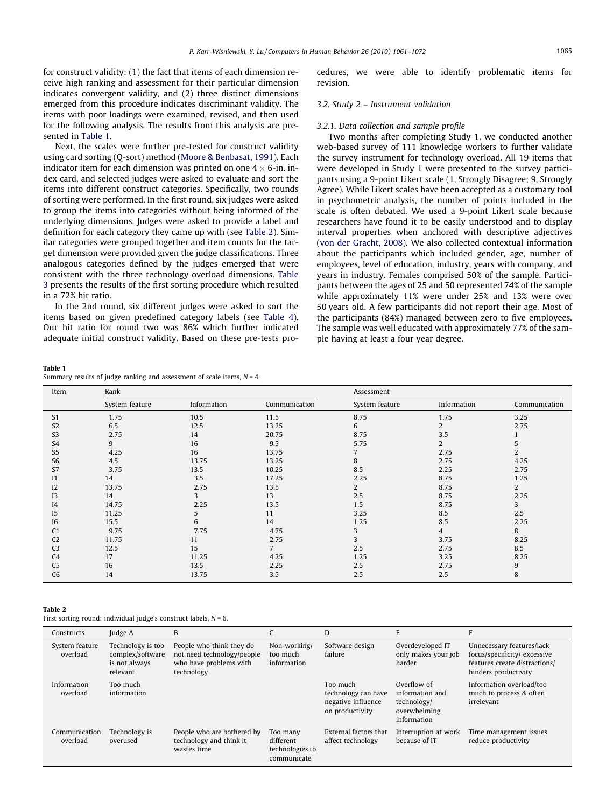for construct validity: (1) the fact that items of each dimension receive high ranking and assessment for their particular dimension indicates convergent validity, and (2) three distinct dimensions emerged from this procedure indicates discriminant validity. The items with poor loadings were examined, revised, and then used for the following analysis. The results from this analysis are presented in Table 1.

Next, the scales were further pre-tested for construct validity using card sorting (Q-sort) method ([Moore & Benbasat, 1991\)](#page-11-0). Each indicator item for each dimension was printed on one 4  $\times$  6-in. index card, and selected judges were asked to evaluate and sort the items into different construct categories. Specifically, two rounds of sorting were performed. In the first round, six judges were asked to group the items into categories without being informed of the underlying dimensions. Judges were asked to provide a label and definition for each category they came up with (see Table 2). Similar categories were grouped together and item counts for the target dimension were provided given the judge classifications. Three analogous categories defined by the judges emerged that were consistent with the three technology overload dimensions. [Table](#page-5-0) [3](#page-5-0) presents the results of the first sorting procedure which resulted in a 72% hit ratio.

In the 2nd round, six different judges were asked to sort the items based on given predefined category labels (see [Table 4\)](#page-5-0). Our hit ratio for round two was 86% which further indicated adequate initial construct validity. Based on these pre-tests procedures, we were able to identify problematic items for revision.

## 3.2. Study 2 – Instrument validation

3.2.1. Data collection and sample profile

Two months after completing Study 1, we conducted another web-based survey of 111 knowledge workers to further validate the survey instrument for technology overload. All 19 items that were developed in Study 1 were presented to the survey participants using a 9-point Likert scale (1, Strongly Disagree; 9, Strongly Agree). While Likert scales have been accepted as a customary tool in psychometric analysis, the number of points included in the scale is often debated. We used a 9-point Likert scale because researchers have found it to be easily understood and to display interval properties when anchored with descriptive adjectives ([von der Gracht, 2008](#page-11-0)). We also collected contextual information about the participants which included gender, age, number of employees, level of education, industry, years with company, and years in industry. Females comprised 50% of the sample. Participants between the ages of 25 and 50 represented 74% of the sample while approximately 11% were under 25% and 13% were over 50 years old. A few participants did not report their age. Most of the participants (84%) managed between zero to five employees. The sample was well educated with approximately 77% of the sample having at least a four year degree.

## Table 1

Summary results of judge ranking and assessment of scale items,  $N = 4$ .

| Item           | Rank           |             |                | Assessment     |                |                |
|----------------|----------------|-------------|----------------|----------------|----------------|----------------|
|                | System feature | Information | Communication  | System feature | Information    | Communication  |
| S <sub>1</sub> | 1.75           | 10.5        | 11.5           | 8.75           | 1.75           | 3.25           |
| S <sub>2</sub> | 6.5            | 12.5        | 13.25          | 6              | 2              | 2.75           |
| S <sub>3</sub> | 2.75           | 14          | 20.75          | 8.75           | 3.5            |                |
| S <sub>4</sub> | 9              | 16          | 9.5            | 5.75           | $\overline{2}$ | 5              |
| S <sub>5</sub> | 4.25           | 16          | 13.75          | 7              | 2.75           | $\overline{2}$ |
| S <sub>6</sub> | 4.5            | 13.75       | 13.25          | 8              | 2.75           | 4.25           |
| S7             | 3.75           | 13.5        | 10.25          | 8.5            | 2.25           | 2.75           |
| $_{11}$        | 14             | 3.5         | 17.25          | 2.25           | 8.75           | 1.25           |
| 12             | 13.75          | 2.75        | 13.5           | $\overline{2}$ | 8.75           | $\overline{2}$ |
| 13             | 14             | 3           | 13             | 2.5            | 8.75           | 2.25           |
| I <sub>4</sub> | 14.75          | 2.25        | 13.5           | 1.5            | 8.75           | 3              |
| 15             | 11.25          | 5           | 11             | 3.25           | 8.5            | 2.5            |
| <b>I6</b>      | 15.5           | 6           | 14             | 1.25           | 8.5            | 2.25           |
| C <sub>1</sub> | 9.75           | 7.75        | 4.75           | 3              | $\overline{4}$ | 8              |
| C <sub>2</sub> | 11.75          | 11          | 2.75           | 3              | 3.75           | 8.25           |
| C <sub>3</sub> | 12.5           | 15          | $\overline{7}$ | 2.5            | 2.75           | 8.5            |
| C <sub>4</sub> | 17             | 11.25       | 4.25           | 1.25           | 3.25           | 8.25           |
| C <sub>5</sub> | 16             | 13.5        | 2.25           | 2.5            | 2.75           | 9              |
| C <sub>6</sub> | 14             | 13.75       | 3.5            | 2.5            | 2.5            | 8              |

#### Table 2

First sorting round: individual judge's construct labels,  $N = 6$ .

| Constructs                 | Judge A                                                            | B                                                                                              |                                                         | D                                                                        | E                                                                            | F                                                                                                                  |
|----------------------------|--------------------------------------------------------------------|------------------------------------------------------------------------------------------------|---------------------------------------------------------|--------------------------------------------------------------------------|------------------------------------------------------------------------------|--------------------------------------------------------------------------------------------------------------------|
| System feature<br>overload | Technology is too<br>complex/software<br>is not always<br>relevant | People who think they do<br>not need technology/people<br>who have problems with<br>technology | Non-working/<br>too much<br>information                 | Software design<br>failure                                               | Overdeveloped IT<br>only makes your job<br>harder                            | Unnecessary features/lack<br>focus/specificity/ excessive<br>features create distractions/<br>hinders productivity |
| Information<br>overload    | Too much<br>information                                            |                                                                                                |                                                         | Too much<br>technology can have<br>negative influence<br>on productivity | Overflow of<br>information and<br>technology/<br>overwhelming<br>information | Information overload/too<br>much to process & often<br>irrelevant                                                  |
| Communication<br>overload  | Technology is<br>overused                                          | People who are bothered by<br>technology and think it<br>wastes time                           | Too many<br>different<br>technologies to<br>communicate | External factors that<br>affect technology                               | Interruption at work<br>because of IT                                        | Time management issues<br>reduce productivity                                                                      |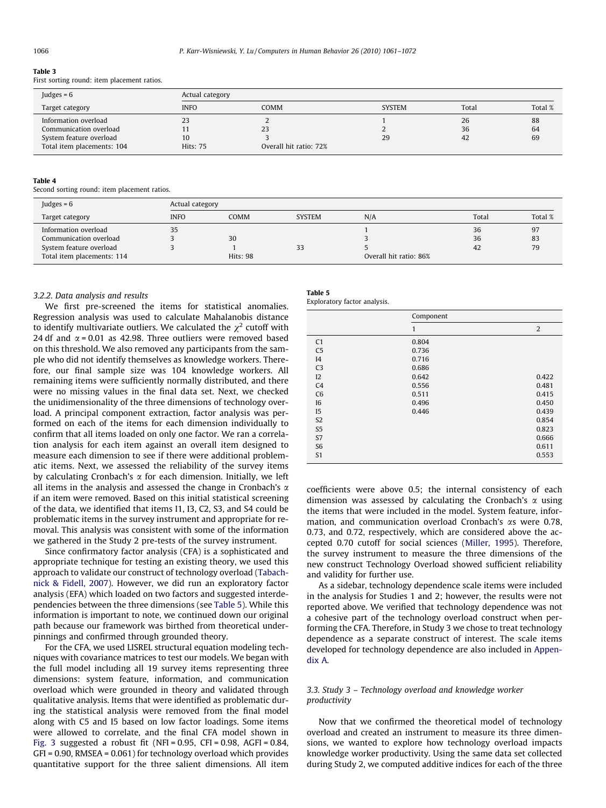#### <span id="page-5-0"></span>Table 3

First sorting round: item placement ratios.

| Judges = $6$                                      | Actual category |                        |               |          |          |
|---------------------------------------------------|-----------------|------------------------|---------------|----------|----------|
| Target category                                   | <b>INFO</b>     | <b>COMM</b>            | <b>SYSTEM</b> | Total    | Total %  |
| Information overload                              | 23              |                        |               | 26       | 88       |
| Communication overload<br>System feature overload | 10              | 23                     | 29            | 36<br>42 | 64<br>69 |
| Total item placements: 104                        | <b>Hits: 75</b> | Overall hit ratio: 72% |               |          |          |

#### Table 4

Second sorting round: item placement ratios.

| Judges = $6$               |             | Actual category |               |                        |       |         |  |
|----------------------------|-------------|-----------------|---------------|------------------------|-------|---------|--|
| Target category            | <b>INFO</b> | COMM            | <b>SYSTEM</b> | N/A                    | Total | Total % |  |
| Information overload       | 35          |                 |               |                        | 36    | 97      |  |
| Communication overload     |             | 30              |               |                        | 36    | 83      |  |
| System feature overload    |             |                 | 33            |                        | 42    | 79      |  |
| Total item placements: 114 |             | <b>Hits: 98</b> |               | Overall hit ratio: 86% |       |         |  |

#### 3.2.2. Data analysis and results

We first pre-screened the items for statistical anomalies. Regression analysis was used to calculate Mahalanobis distance to identify multivariate outliers. We calculated the  $\chi^2$  cutoff with 24 df and  $\alpha$  = 0.01 as 42.98. Three outliers were removed based on this threshold. We also removed any participants from the sample who did not identify themselves as knowledge workers. Therefore, our final sample size was 104 knowledge workers. All remaining items were sufficiently normally distributed, and there were no missing values in the final data set. Next, we checked the unidimensionality of the three dimensions of technology overload. A principal component extraction, factor analysis was performed on each of the items for each dimension individually to confirm that all items loaded on only one factor. We ran a correlation analysis for each item against an overall item designed to measure each dimension to see if there were additional problematic items. Next, we assessed the reliability of the survey items by calculating Cronbach's  $\alpha$  for each dimension. Initially, we left all items in the analysis and assessed the change in Cronbach's  $\alpha$ if an item were removed. Based on this initial statistical screening of the data, we identified that items I1, I3, C2, S3, and S4 could be problematic items in the survey instrument and appropriate for removal. This analysis was consistent with some of the information we gathered in the Study 2 pre-tests of the survey instrument.

Since confirmatory factor analysis (CFA) is a sophisticated and appropriate technique for testing an existing theory, we used this approach to validate our construct of technology overload ([Tabach](#page-11-0)[nick & Fidell, 2007](#page-11-0)). However, we did run an exploratory factor analysis (EFA) which loaded on two factors and suggested interdependencies between the three dimensions (see Table 5). While this information is important to note, we continued down our original path because our framework was birthed from theoretical underpinnings and confirmed through grounded theory.

For the CFA, we used LISREL structural equation modeling techniques with covariance matrices to test our models. We began with the full model including all 19 survey items representing three dimensions: system feature, information, and communication overload which were grounded in theory and validated through qualitative analysis. Items that were identified as problematic during the statistical analysis were removed from the final model along with C5 and I5 based on low factor loadings. Some items were allowed to correlate, and the final CFA model shown in [Fig. 3](#page-6-0) suggested a robust fit (NFI =  $0.95$ , CFI =  $0.98$ , AGFI =  $0.84$ , GFI = 0.90, RMSEA = 0.061) for technology overload which provides quantitative support for the three salient dimensions. All item

| Table 5                      |  |  |
|------------------------------|--|--|
| Exploratory factor analysis. |  |  |

|                | Component |                |
|----------------|-----------|----------------|
|                | 1         | $\overline{2}$ |
| C <sub>1</sub> | 0.804     |                |
| C <sub>5</sub> | 0.736     |                |
| I4             | 0.716     |                |
| C <sub>3</sub> | 0.686     |                |
| 12             | 0.642     | 0.422          |
| C <sub>4</sub> | 0.556     | 0.481          |
| C <sub>6</sub> | 0.511     | 0.415          |
| <b>I6</b>      | 0.496     | 0.450          |
| <b>I5</b>      | 0.446     | 0.439          |
| S <sub>2</sub> |           | 0.854          |
| S <sub>5</sub> |           | 0.823          |
| S7             |           | 0.666          |
| S <sub>6</sub> |           | 0.611          |
| S <sub>1</sub> |           | 0.553          |

coefficients were above 0.5; the internal consistency of each dimension was assessed by calculating the Cronbach's  $\alpha$  using the items that were included in the model. System feature, information, and communication overload Cronbach's as were 0.78, 0.73, and 0.72, respectively, which are considered above the accepted 0.70 cutoff for social sciences [\(Miller, 1995](#page-11-0)). Therefore, the survey instrument to measure the three dimensions of the new construct Technology Overload showed sufficient reliability and validity for further use.

As a sidebar, technology dependence scale items were included in the analysis for Studies 1 and 2; however, the results were not reported above. We verified that technology dependence was not a cohesive part of the technology overload construct when performing the CFA. Therefore, in Study 3 we chose to treat technology dependence as a separate construct of interest. The scale items developed for technology dependence are also included in Appendix A.

## 3.3. Study 3 – Technology overload and knowledge worker productivity

Now that we confirmed the theoretical model of technology overload and created an instrument to measure its three dimensions, we wanted to explore how technology overload impacts knowledge worker productivity. Using the same data set collected during Study 2, we computed additive indices for each of the three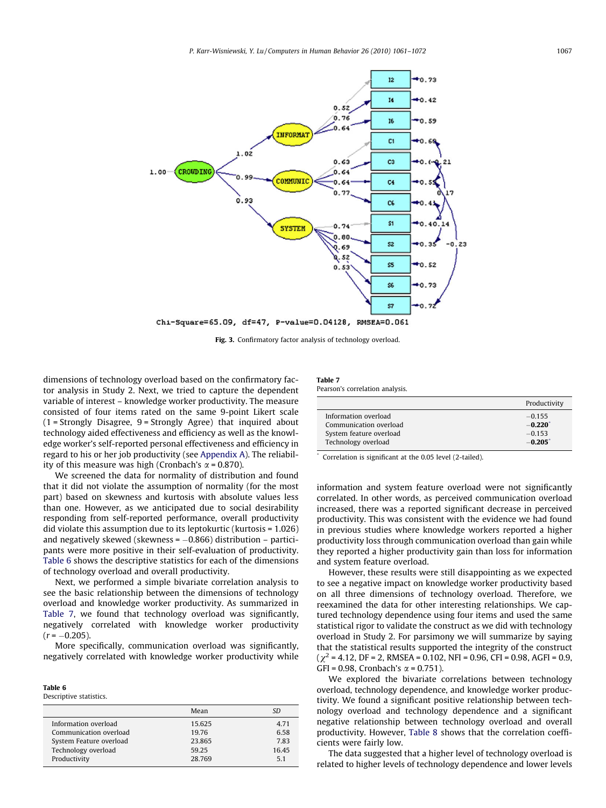<span id="page-6-0"></span>

Fig. 3. Confirmatory factor analysis of technology overload.

dimensions of technology overload based on the confirmatory factor analysis in Study 2. Next, we tried to capture the dependent variable of interest – knowledge worker productivity. The measure consisted of four items rated on the same 9-point Likert scale (1 = Strongly Disagree, 9 = Strongly Agree) that inquired about technology aided effectiveness and efficiency as well as the knowledge worker's self-reported personal effectiveness and efficiency in regard to his or her job productivity (see Appendix A). The reliability of this measure was high (Cronbach's  $\alpha$  = 0.870).

We screened the data for normality of distribution and found that it did not violate the assumption of normality (for the most part) based on skewness and kurtosis with absolute values less than one. However, as we anticipated due to social desirability responding from self-reported performance, overall productivity did violate this assumption due to its leptokurtic (kurtosis = 1.026) and negatively skewed (skewness  $= -0.866$ ) distribution  $-$  participants were more positive in their self-evaluation of productivity. Table 6 shows the descriptive statistics for each of the dimensions of technology overload and overall productivity.

Next, we performed a simple bivariate correlation analysis to see the basic relationship between the dimensions of technology overload and knowledge worker productivity. As summarized in Table 7, we found that technology overload was significantly, negatively correlated with knowledge worker productivity  $(r = -0.205)$ .

More specifically, communication overload was significantly, negatively correlated with knowledge worker productivity while

| Table | п |  |
|-------|---|--|
|       |   |  |

Descriptive statistics.

|                         | Mean   | SD    |
|-------------------------|--------|-------|
| Information overload    | 15.625 | 4.71  |
| Communication overload  | 19.76  | 6.58  |
| System Feature overload | 23.865 | 7.83  |
| Technology overload     | 59.25  | 16.45 |
| Productivity            | 28.769 | 5.1   |
|                         |        |       |

#### Table 7 Pearson's correlation analysis.

| Productivity |
|--------------|
| $-0.155$     |
| $-0.220$     |
| $-0.153$     |
| $-0.205$     |
|              |

\* Correlation is significant at the 0.05 level (2-tailed).

information and system feature overload were not significantly correlated. In other words, as perceived communication overload increased, there was a reported significant decrease in perceived productivity. This was consistent with the evidence we had found in previous studies where knowledge workers reported a higher productivity loss through communication overload than gain while they reported a higher productivity gain than loss for information and system feature overload.

However, these results were still disappointing as we expected to see a negative impact on knowledge worker productivity based on all three dimensions of technology overload. Therefore, we reexamined the data for other interesting relationships. We captured technology dependence using four items and used the same statistical rigor to validate the construct as we did with technology overload in Study 2. For parsimony we will summarize by saying that the statistical results supported the integrity of the construct  $(\chi^2 = 4.12, DF = 2, RMSEA = 0.102, NF = 0.96, CF = 0.98, AGF = 0.9,$ GFI = 0.98, Cronbach's  $\alpha$  = 0.751).

We explored the bivariate correlations between technology overload, technology dependence, and knowledge worker productivity. We found a significant positive relationship between technology overload and technology dependence and a significant negative relationship between technology overload and overall productivity. However, [Table 8](#page-7-0) shows that the correlation coefficients were fairly low.

The data suggested that a higher level of technology overload is related to higher levels of technology dependence and lower levels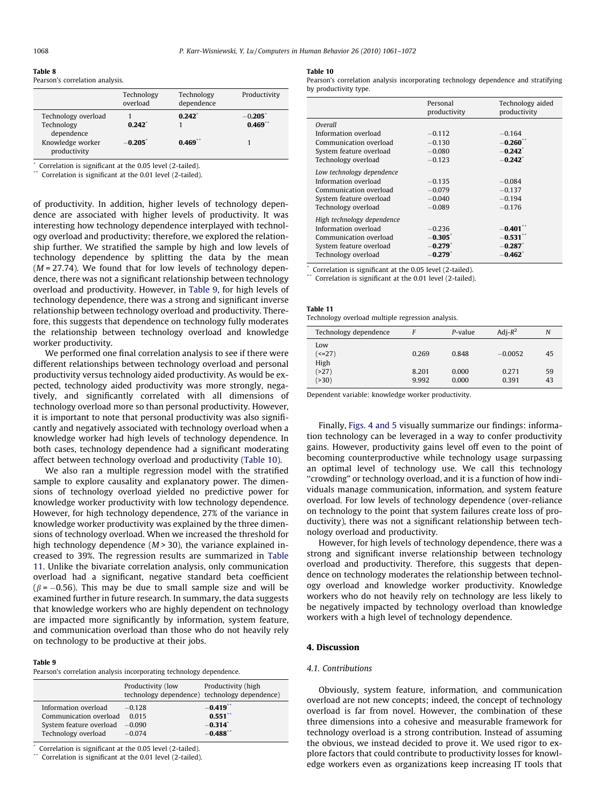#### <span id="page-7-0"></span>Table 8

Pearson's correlation analysis.

|                                                | Technology<br>overload | Technology<br>dependence | Productivity                        |
|------------------------------------------------|------------------------|--------------------------|-------------------------------------|
| Technology overload<br>Technology              | $0.242$ <sup>*</sup>   | $0.242$ <sup>*</sup>     | $-0.205$ <sup>*</sup><br>$0.469$ ** |
| dependence<br>Knowledge worker<br>productivity | $-0.205$               | $0.469$ <sup>**</sup>    |                                     |

Correlation is significant at the 0.05 level (2-tailed).

Correlation is significant at the 0.01 level (2-tailed).

of productivity. In addition, higher levels of technology dependence are associated with higher levels of productivity. It was interesting how technology dependence interplayed with technology overload and productivity; therefore, we explored the relationship further. We stratified the sample by high and low levels of technology dependence by splitting the data by the mean  $(M = 27.74)$ . We found that for low levels of technology dependence, there was not a significant relationship between technology overload and productivity. However, in Table 9, for high levels of technology dependence, there was a strong and significant inverse relationship between technology overload and productivity. Therefore, this suggests that dependence on technology fully moderates the relationship between technology overload and knowledge worker productivity.

We performed one final correlation analysis to see if there were different relationships between technology overload and personal productivity versus technology aided productivity. As would be expected, technology aided productivity was more strongly, negatively, and significantly correlated with all dimensions of technology overload more so than personal productivity. However, it is important to note that personal productivity was also significantly and negatively associated with technology overload when a knowledge worker had high levels of technology dependence. In both cases, technology dependence had a significant moderating affect between technology overload and productivity (Table 10).

We also ran a multiple regression model with the stratified sample to explore causality and explanatory power. The dimensions of technology overload yielded no predictive power for knowledge worker productivity with low technology dependence. However, for high technology dependence, 27% of the variance in knowledge worker productivity was explained by the three dimensions of technology overload. When we increased the threshold for high technology dependence  $(M > 30)$ , the variance explained increased to 39%. The regression results are summarized in Table 11. Unlike the bivariate correlation analysis, only communication overload had a significant, negative standard beta coefficient  $(\beta = -0.56)$ . This may be due to small sample size and will be examined further in future research. In summary, the data suggests that knowledge workers who are highly dependent on technology are impacted more significantly by information, system feature, and communication overload than those who do not heavily rely on technology to be productive at their jobs.

#### Table 9

Pearson's correlation analysis incorporating technology dependence.

|                         | Productivity (low | Productivity (high<br>technology dependence) technology dependence) |
|-------------------------|-------------------|---------------------------------------------------------------------|
| Information overload    | $-0.128$          | $-0.419$                                                            |
| Communication overload  | 0.015             | $0.551$ **                                                          |
| System feature overload | $-0.090$          | $-0.314$ <sup>*</sup>                                               |
| Technology overload     | $-0.074$          | $-0.488$                                                            |

Correlation is significant at the 0.05 level (2-tailed).

Correlation is significant at the 0.01 level (2-tailed).

#### Table 10

Pearson's correlation analysis incorporating technology dependence and stratifying by productivity type.

|                                                    | Personal<br>productivity | Technology aided<br>productivity |
|----------------------------------------------------|--------------------------|----------------------------------|
| Overall                                            |                          |                                  |
| Information overload                               | $-0.112$                 | $-0.164$                         |
| Communication overload                             | $-0.130$                 | $-0.260$                         |
| System feature overload                            | $-0.080$                 | $-0.242$ <sup>*</sup>            |
| Technology overload                                | $-0.123$                 | $-0.242$ <sup>*</sup>            |
| Low technology dependence                          |                          |                                  |
| Information overload                               | $-0.135$                 | $-0.084$                         |
| Communication overload                             | $-0.079$                 | $-0.137$                         |
| System feature overload                            | $-0.040$                 | $-0.194$                         |
| Technology overload                                | $-0.089$                 | $-0.176$                         |
| High technology dependence<br>Information overload | $-0.236$                 | $-0.401$                         |
| Communication overload                             | $-0.305$                 | $-0.531$                         |
| System feature overload                            | $-0.279$ <sup>*</sup>    | $-0.287$                         |
| Technology overload                                | $-0.279$ <sup>*</sup>    | $-0.462$                         |

Correlation is significant at the 0.05 level (2-tailed).

Correlation is significant at the 0.01 level (2-tailed).

#### Table 11 Technology overload multiple regression analysis.

| ---                    |                |                |                |          |
|------------------------|----------------|----------------|----------------|----------|
| Technology dependence  | F              | P-value        | Adj- $R^2$     | N        |
| Low<br>$(-27)$<br>High | 0.269          | 0.848          | $-0.0052$      | 45       |
| ( >27)<br>( > 30)      | 8.201<br>9.992 | 0.000<br>0.000 | 0.271<br>0.391 | 59<br>43 |

Dependent variable: knowledge worker productivity.

Finally, [Figs. 4 and 5](#page-8-0) visually summarize our findings: information technology can be leveraged in a way to confer productivity gains. However, productivity gains level off even to the point of becoming counterproductive while technology usage surpassing an optimal level of technology use. We call this technology ''crowding" or technology overload, and it is a function of how individuals manage communication, information, and system feature overload. For low levels of technology dependence (over-reliance on technology to the point that system failures create loss of productivity), there was not a significant relationship between technology overload and productivity.

However, for high levels of technology dependence, there was a strong and significant inverse relationship between technology overload and productivity. Therefore, this suggests that dependence on technology moderates the relationship between technology overload and knowledge worker productivity. Knowledge workers who do not heavily rely on technology are less likely to be negatively impacted by technology overload than knowledge workers with a high level of technology dependence.

## 4. Discussion

## 4.1. Contributions

Obviously, system feature, information, and communication overload are not new concepts; indeed, the concept of technology overload is far from novel. However, the combination of these three dimensions into a cohesive and measurable framework for technology overload is a strong contribution. Instead of assuming the obvious, we instead decided to prove it. We used rigor to explore factors that could contribute to productivity losses for knowledge workers even as organizations keep increasing IT tools that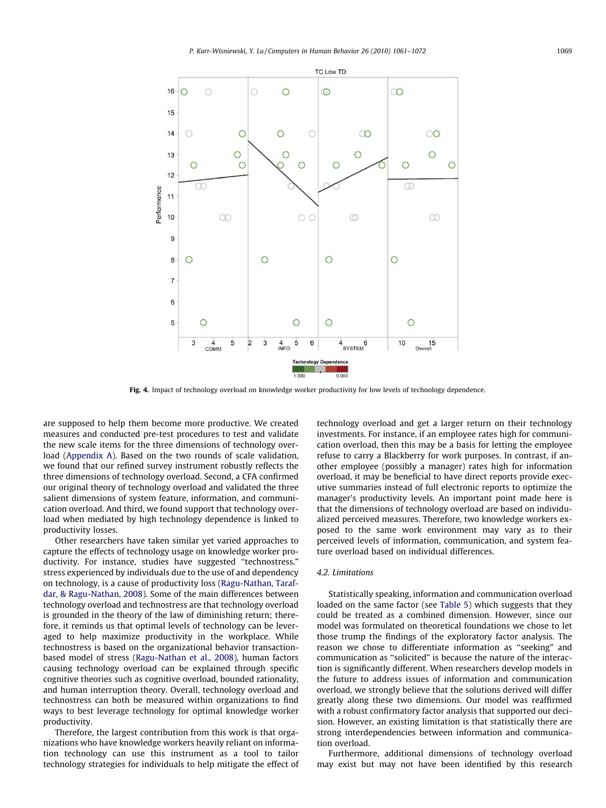<span id="page-8-0"></span>

Fig. 4. Impact of technology overload on knowledge worker productivity for low levels of technology dependence.

are supposed to help them become more productive. We created measures and conducted pre-test procedures to test and validate the new scale items for the three dimensions of technology overload (Appendix A). Based on the two rounds of scale validation, we found that our refined survey instrument robustly reflects the three dimensions of technology overload. Second, a CFA confirmed our original theory of technology overload and validated the three salient dimensions of system feature, information, and communication overload. And third, we found support that technology overload when mediated by high technology dependence is linked to productivity losses.

Other researchers have taken similar yet varied approaches to capture the effects of technology usage on knowledge worker productivity. For instance, studies have suggested ''technostress," stress experienced by individuals due to the use of and dependency on technology, is a cause of productivity loss [\(Ragu-Nathan, Taraf](#page-11-0)[dar, & Ragu-Nathan, 2008](#page-11-0)). Some of the main differences between technology overload and technostress are that technology overload is grounded in the theory of the law of diminishing return; therefore, it reminds us that optimal levels of technology can be leveraged to help maximize productivity in the workplace. While technostress is based on the organizational behavior transactionbased model of stress ([Ragu-Nathan et al., 2008\)](#page-11-0), human factors causing technology overload can be explained through specific cognitive theories such as cognitive overload, bounded rationality, and human interruption theory. Overall, technology overload and technostress can both be measured within organizations to find ways to best leverage technology for optimal knowledge worker productivity.

Therefore, the largest contribution from this work is that organizations who have knowledge workers heavily reliant on information technology can use this instrument as a tool to tailor technology strategies for individuals to help mitigate the effect of technology overload and get a larger return on their technology investments. For instance, if an employee rates high for communication overload, then this may be a basis for letting the employee refuse to carry a Blackberry for work purposes. In contrast, if another employee (possibly a manager) rates high for information overload, it may be beneficial to have direct reports provide executive summaries instead of full electronic reports to optimize the manager's productivity levels. An important point made here is that the dimensions of technology overload are based on individualized perceived measures. Therefore, two knowledge workers exposed to the same work environment may vary as to their perceived levels of information, communication, and system feature overload based on individual differences.

## 4.2. Limitations

Statistically speaking, information and communication overload loaded on the same factor (see [Table 5\)](#page-5-0) which suggests that they could be treated as a combined dimension. However, since our model was formulated on theoretical foundations we chose to let those trump the findings of the exploratory factor analysis. The reason we chose to differentiate information as ''seeking" and communication as ''solicited" is because the nature of the interaction is significantly different. When researchers develop models in the future to address issues of information and communication overload, we strongly believe that the solutions derived will differ greatly along these two dimensions. Our model was reaffirmed with a robust confirmatory factor analysis that supported our decision. However, an existing limitation is that statistically there are strong interdependencies between information and communication overload.

Furthermore, additional dimensions of technology overload may exist but may not have been identified by this research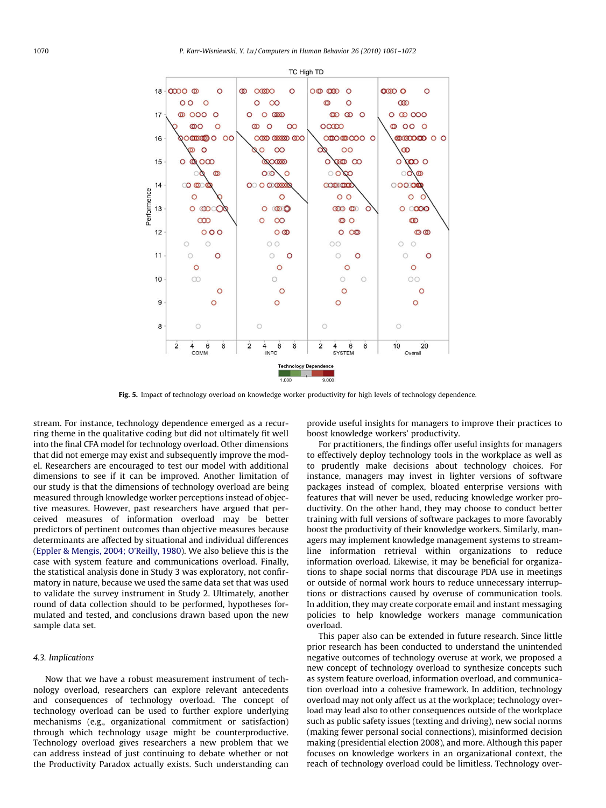

Fig. 5. Impact of technology overload on knowledge worker productivity for high levels of technology dependence.

stream. For instance, technology dependence emerged as a recurring theme in the qualitative coding but did not ultimately fit well into the final CFA model for technology overload. Other dimensions that did not emerge may exist and subsequently improve the model. Researchers are encouraged to test our model with additional dimensions to see if it can be improved. Another limitation of our study is that the dimensions of technology overload are being measured through knowledge worker perceptions instead of objective measures. However, past researchers have argued that perceived measures of information overload may be better predictors of pertinent outcomes than objective measures because determinants are affected by situational and individual differences ([Eppler & Mengis, 2004; O'Reilly, 1980](#page-11-0)). We also believe this is the case with system feature and communications overload. Finally, the statistical analysis done in Study 3 was exploratory, not confirmatory in nature, because we used the same data set that was used to validate the survey instrument in Study 2. Ultimately, another round of data collection should to be performed, hypotheses formulated and tested, and conclusions drawn based upon the new sample data set.

## 4.3. Implications

Now that we have a robust measurement instrument of technology overload, researchers can explore relevant antecedents and consequences of technology overload. The concept of technology overload can be used to further explore underlying mechanisms (e.g., organizational commitment or satisfaction) through which technology usage might be counterproductive. Technology overload gives researchers a new problem that we can address instead of just continuing to debate whether or not the Productivity Paradox actually exists. Such understanding can

provide useful insights for managers to improve their practices to boost knowledge workers' productivity.

For practitioners, the findings offer useful insights for managers to effectively deploy technology tools in the workplace as well as to prudently make decisions about technology choices. For instance, managers may invest in lighter versions of software packages instead of complex, bloated enterprise versions with features that will never be used, reducing knowledge worker productivity. On the other hand, they may choose to conduct better training with full versions of software packages to more favorably boost the productivity of their knowledge workers. Similarly, managers may implement knowledge management systems to streamline information retrieval within organizations to reduce information overload. Likewise, it may be beneficial for organizations to shape social norms that discourage PDA use in meetings or outside of normal work hours to reduce unnecessary interruptions or distractions caused by overuse of communication tools. In addition, they may create corporate email and instant messaging policies to help knowledge workers manage communication overload.

This paper also can be extended in future research. Since little prior research has been conducted to understand the unintended negative outcomes of technology overuse at work, we proposed a new concept of technology overload to synthesize concepts such as system feature overload, information overload, and communication overload into a cohesive framework. In addition, technology overload may not only affect us at the workplace; technology overload may lead also to other consequences outside of the workplace such as public safety issues (texting and driving), new social norms (making fewer personal social connections), misinformed decision making (presidential election 2008), and more. Although this paper focuses on knowledge workers in an organizational context, the reach of technology overload could be limitless. Technology over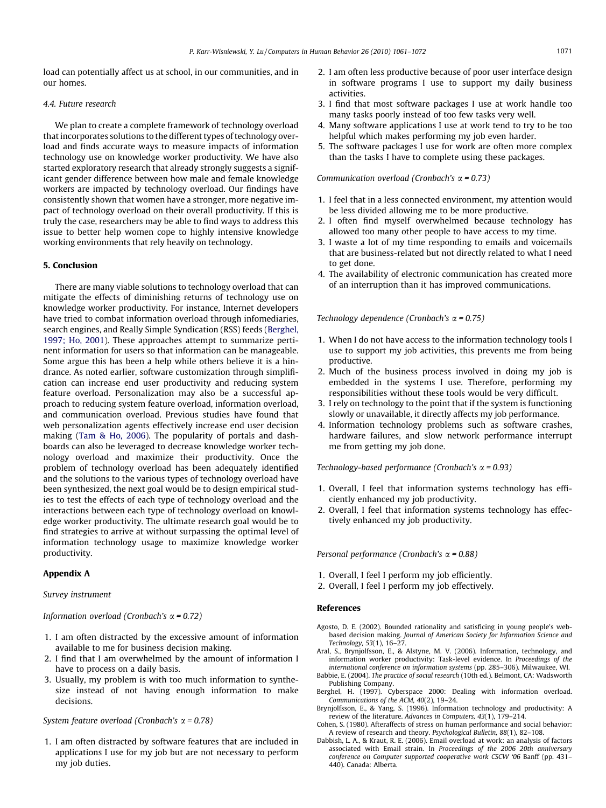<span id="page-10-0"></span>load can potentially affect us at school, in our communities, and in our homes.

## 4.4. Future research

We plan to create a complete framework of technology overload that incorporates solutions to the different types of technology overload and finds accurate ways to measure impacts of information technology use on knowledge worker productivity. We have also started exploratory research that already strongly suggests a significant gender difference between how male and female knowledge workers are impacted by technology overload. Our findings have consistently shown that women have a stronger, more negative impact of technology overload on their overall productivity. If this is truly the case, researchers may be able to find ways to address this issue to better help women cope to highly intensive knowledge working environments that rely heavily on technology.

## 5. Conclusion

There are many viable solutions to technology overload that can mitigate the effects of diminishing returns of technology use on knowledge worker productivity. For instance, Internet developers have tried to combat information overload through infomediaries, search engines, and Really Simple Syndication (RSS) feeds (Berghel, 1997; Ho, 2001). These approaches attempt to summarize pertinent information for users so that information can be manageable. Some argue this has been a help while others believe it is a hindrance. As noted earlier, software customization through simplification can increase end user productivity and reducing system feature overload. Personalization may also be a successful approach to reducing system feature overload, information overload, and communication overload. Previous studies have found that web personalization agents effectively increase end user decision making ([Tam & Ho, 2006](#page-11-0)). The popularity of portals and dashboards can also be leveraged to decrease knowledge worker technology overload and maximize their productivity. Once the problem of technology overload has been adequately identified and the solutions to the various types of technology overload have been synthesized, the next goal would be to design empirical studies to test the effects of each type of technology overload and the interactions between each type of technology overload on knowledge worker productivity. The ultimate research goal would be to find strategies to arrive at without surpassing the optimal level of information technology usage to maximize knowledge worker productivity.

## Appendix A

## Survey instrument

Information overload (Cronbach's  $\alpha$  = 0.72)

- 1. I am often distracted by the excessive amount of information available to me for business decision making.
- 2. I find that I am overwhelmed by the amount of information I have to process on a daily basis.
- 3. Usually, my problem is with too much information to synthesize instead of not having enough information to make decisions.

## System feature overload (Cronbach's  $\alpha$  = 0.78)

1. I am often distracted by software features that are included in applications I use for my job but are not necessary to perform my job duties.

- 2. I am often less productive because of poor user interface design in software programs I use to support my daily business activities.
- 3. I find that most software packages I use at work handle too many tasks poorly instead of too few tasks very well.
- 4. Many software applications I use at work tend to try to be too helpful which makes performing my job even harder.
- 5. The software packages I use for work are often more complex than the tasks I have to complete using these packages.

## Communication overload (Cronbach's  $\alpha$  = 0.73)

- 1. I feel that in a less connected environment, my attention would be less divided allowing me to be more productive.
- 2. I often find myself overwhelmed because technology has allowed too many other people to have access to my time.
- 3. I waste a lot of my time responding to emails and voicemails that are business-related but not directly related to what I need to get done.
- 4. The availability of electronic communication has created more of an interruption than it has improved communications.

## Technology dependence (Cronbach's  $\alpha$  = 0.75)

- 1. When I do not have access to the information technology tools I use to support my job activities, this prevents me from being productive.
- 2. Much of the business process involved in doing my job is embedded in the systems I use. Therefore, performing my responsibilities without these tools would be very difficult.
- 3. I rely on technology to the point that if the system is functioning slowly or unavailable, it directly affects my job performance.
- 4. Information technology problems such as software crashes, hardware failures, and slow network performance interrupt me from getting my job done.

Technology-based performance (Cronbach's  $\alpha$  = 0.93)

- 1. Overall, I feel that information systems technology has efficiently enhanced my job productivity.
- 2. Overall, I feel that information systems technology has effectively enhanced my job productivity.

Personal performance (Cronbach's  $\alpha$  = 0.88)

- 1. Overall, I feel I perform my job efficiently.
- 2. Overall, I feel I perform my job effectively.

#### References

- Agosto, D. E. (2002). Bounded rationality and satisficing in young people's webbased decision making. Journal of American Society for Information Science and Technology, 53(1), 16–27.
- Aral, S., Brynjolfsson, E., & Alstyne, M. V. (2006). Information, technology, and information worker productivity: Task-level evidence. In Proceedings of the international conference on information systems (pp. 285–306). Milwaukee, WI.
- Babbie, E. (2004). The practice of social research (10th ed.). Belmont, CA: Wadsworth Publishing Company.
- Berghel, H. (1997). Cyberspace 2000: Dealing with information overload. Communications of the ACM, 40(2), 19–24.
- Brynjolfsson, E., & Yang, S. (1996). Information technology and productivity: A review of the literature. Advances in Computers, 43(1), 179–214.
- Cohen, S. (1980). Afteraffects of stress on human performance and social behavior: A review of research and theory. Psychological Bulletin, 88(1), 82–108.
- Dabbish, L. A., & Kraut, R. E. (2006). Email overload at work: an analysis of factors associated with Email strain. In Proceedings of the 2006 20th anniversary conference on Computer supported cooperative work CSCW '06 Banff (pp. 431– 440). Canada: Alberta.